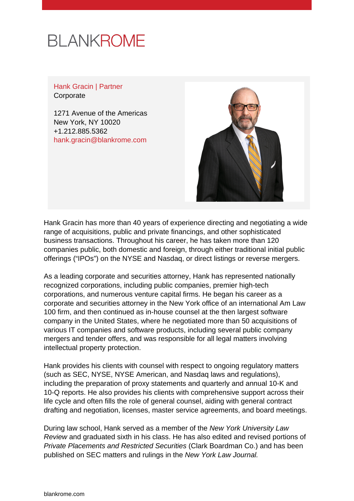# **BLANKROME**

Hank Gracin | Partner **Corporate** 

1271 Avenue of the Americas New York, NY 10020 +1.212.885.5362 [hank.gracin@blankrome.com](mailto:hank.gracin@blankrome.com)



Hank Gracin has more than 40 years of experience directing and negotiating a wide range of acquisitions, public and private financings, and other sophisticated business transactions. Throughout his career, he has taken more than 120 companies public, both domestic and foreign, through either traditional initial public offerings ("IPOs") on the NYSE and Nasdaq, or direct listings or reverse mergers.

As a leading corporate and securities attorney, Hank has represented nationally recognized corporations, including public companies, premier high-tech corporations, and numerous venture capital firms. He began his career as a corporate and securities attorney in the New York office of an international Am Law 100 firm, and then continued as in-house counsel at the then largest software company in the United States, where he negotiated more than 50 acquisitions of various IT companies and software products, including several public company mergers and tender offers, and was responsible for all legal matters involving intellectual property protection.

Hank provides his clients with counsel with respect to ongoing regulatory matters (such as SEC, NYSE, NYSE American, and Nasdaq laws and regulations), including the preparation of proxy statements and quarterly and annual 10-K and 10-Q reports. He also provides his clients with comprehensive support across their life cycle and often fills the role of general counsel, aiding with general contract drafting and negotiation, licenses, master service agreements, and board meetings.

During law school, Hank served as a member of the New York University Law Review and graduated sixth in his class. He has also edited and revised portions of Private Placements and Restricted Securities (Clark Boardman Co.) and has been published on SEC matters and rulings in the New York Law Journal.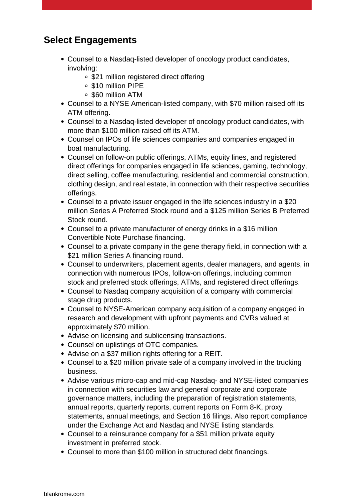## **Select Engagements**

- Counsel to a Nasdaq-listed developer of oncology product candidates, involving:
	- \$21 million registered direct offering
	- \$10 million PIPE
	- \$60 million ATM
- Counsel to a NYSE American-listed company, with \$70 million raised off its ATM offering.
- Counsel to a Nasdaq-listed developer of oncology product candidates, with more than \$100 million raised off its ATM.
- Counsel on IPOs of life sciences companies and companies engaged in boat manufacturing.
- Counsel on follow-on public offerings, ATMs, equity lines, and registered direct offerings for companies engaged in life sciences, gaming, technology, direct selling, coffee manufacturing, residential and commercial construction, clothing design, and real estate, in connection with their respective securities offerings.
- Counsel to a private issuer engaged in the life sciences industry in a \$20 million Series A Preferred Stock round and a \$125 million Series B Preferred Stock round.
- Counsel to a private manufacturer of energy drinks in a \$16 million Convertible Note Purchase financing.
- Counsel to a private company in the gene therapy field, in connection with a \$21 million Series A financing round.
- Counsel to underwriters, placement agents, dealer managers, and agents, in connection with numerous IPOs, follow-on offerings, including common stock and preferred stock offerings, ATMs, and registered direct offerings.
- Counsel to Nasdaq company acquisition of a company with commercial stage drug products.
- Counsel to NYSE-American company acquisition of a company engaged in research and development with upfront payments and CVRs valued at approximately \$70 million.
- Advise on licensing and sublicensing transactions.
- Counsel on uplistings of OTC companies.
- Advise on a \$37 million rights offering for a REIT.
- Counsel to a \$20 million private sale of a company involved in the trucking business.
- Advise various micro-cap and mid-cap Nasdaq- and NYSE-listed companies in connection with securities law and general corporate and corporate governance matters, including the preparation of registration statements, annual reports, quarterly reports, current reports on Form 8-K, proxy statements, annual meetings, and Section 16 filings. Also report compliance under the Exchange Act and Nasdaq and NYSE listing standards.
- Counsel to a reinsurance company for a \$51 million private equity investment in preferred stock.
- Counsel to more than \$100 million in structured debt financings.